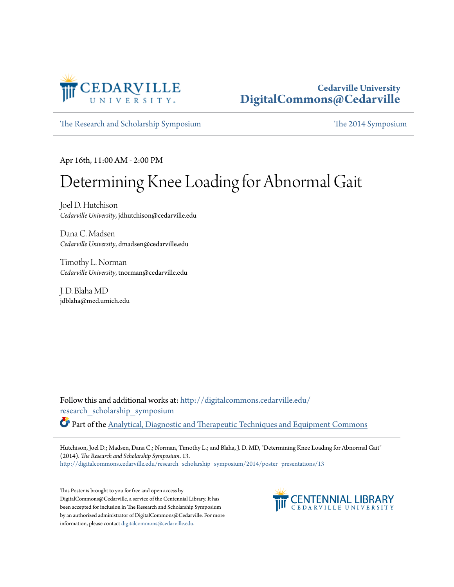

#### **Cedarville University [DigitalCommons@Cedarville](http://digitalcommons.cedarville.edu?utm_source=digitalcommons.cedarville.edu%2Fresearch_scholarship_symposium%2F2014%2Fposter_presentations%2F13&utm_medium=PDF&utm_campaign=PDFCoverPages)**

[The Research and Scholarship Symposium](http://digitalcommons.cedarville.edu/research_scholarship_symposium?utm_source=digitalcommons.cedarville.edu%2Fresearch_scholarship_symposium%2F2014%2Fposter_presentations%2F13&utm_medium=PDF&utm_campaign=PDFCoverPages) [The 2014 Symposium](http://digitalcommons.cedarville.edu/research_scholarship_symposium/2014?utm_source=digitalcommons.cedarville.edu%2Fresearch_scholarship_symposium%2F2014%2Fposter_presentations%2F13&utm_medium=PDF&utm_campaign=PDFCoverPages)

Apr 16th, 11:00 AM - 2:00 PM

#### Determining Knee Loading for Abnormal Gait

Joel D. Hutchison *Cedarville University*, jdhutchison@cedarville.edu

Dana C. Madsen *Cedarville University*, dmadsen@cedarville.edu

Timothy L. Norman *Cedarville University*, tnorman@cedarville.edu

J. D. Blaha MD jdblaha@med.umich.edu

Follow this and additional works at: [http://digitalcommons.cedarville.edu/](http://digitalcommons.cedarville.edu/research_scholarship_symposium?utm_source=digitalcommons.cedarville.edu%2Fresearch_scholarship_symposium%2F2014%2Fposter_presentations%2F13&utm_medium=PDF&utm_campaign=PDFCoverPages) [research\\_scholarship\\_symposium](http://digitalcommons.cedarville.edu/research_scholarship_symposium?utm_source=digitalcommons.cedarville.edu%2Fresearch_scholarship_symposium%2F2014%2Fposter_presentations%2F13&utm_medium=PDF&utm_campaign=PDFCoverPages) Part of the [Analytical, Diagnostic and Therapeutic Techniques and Equipment Commons](http://network.bepress.com/hgg/discipline/899?utm_source=digitalcommons.cedarville.edu%2Fresearch_scholarship_symposium%2F2014%2Fposter_presentations%2F13&utm_medium=PDF&utm_campaign=PDFCoverPages)

Hutchison, Joel D.; Madsen, Dana C.; Norman, Timothy L.; and Blaha, J. D. MD, "Determining Knee Loading for Abnormal Gait" (2014). *The Research and Scholarship Symposium*. 13. [http://digitalcommons.cedarville.edu/research\\_scholarship\\_symposium/2014/poster\\_presentations/13](http://digitalcommons.cedarville.edu/research_scholarship_symposium/2014/poster_presentations/13?utm_source=digitalcommons.cedarville.edu%2Fresearch_scholarship_symposium%2F2014%2Fposter_presentations%2F13&utm_medium=PDF&utm_campaign=PDFCoverPages)

This Poster is brought to you for free and open access by DigitalCommons@Cedarville, a service of the Centennial Library. It has been accepted for inclusion in The Research and Scholarship Symposium by an authorized administrator of DigitalCommons@Cedarville. For more information, please contact [digitalcommons@cedarville.edu.](mailto:digitalcommons@cedarville.edu)